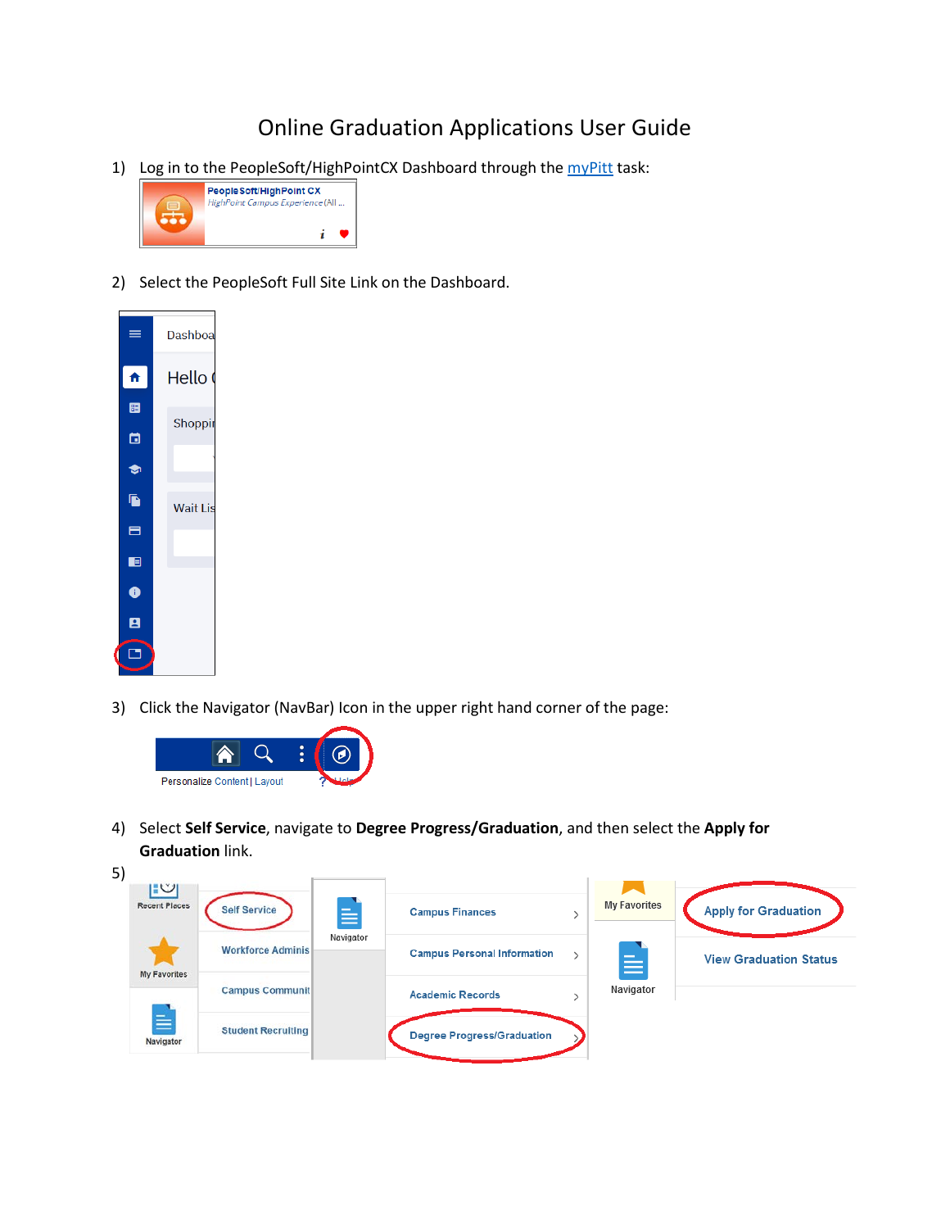## Online Graduation Applications User Guide

1) Log in to the PeopleSoft/HighPointCX Dashboard through the [myPitt](https://my.pitt.edu/) task:



2) Select the PeopleSoft Full Site Link on the Dashboard.



3) Click the Navigator (NavBar) Icon in the upper right hand corner of the page:



4) Select **Self Service**, navigate to **Degree Progress/Graduation**, and then select the **Apply for Graduation** link.

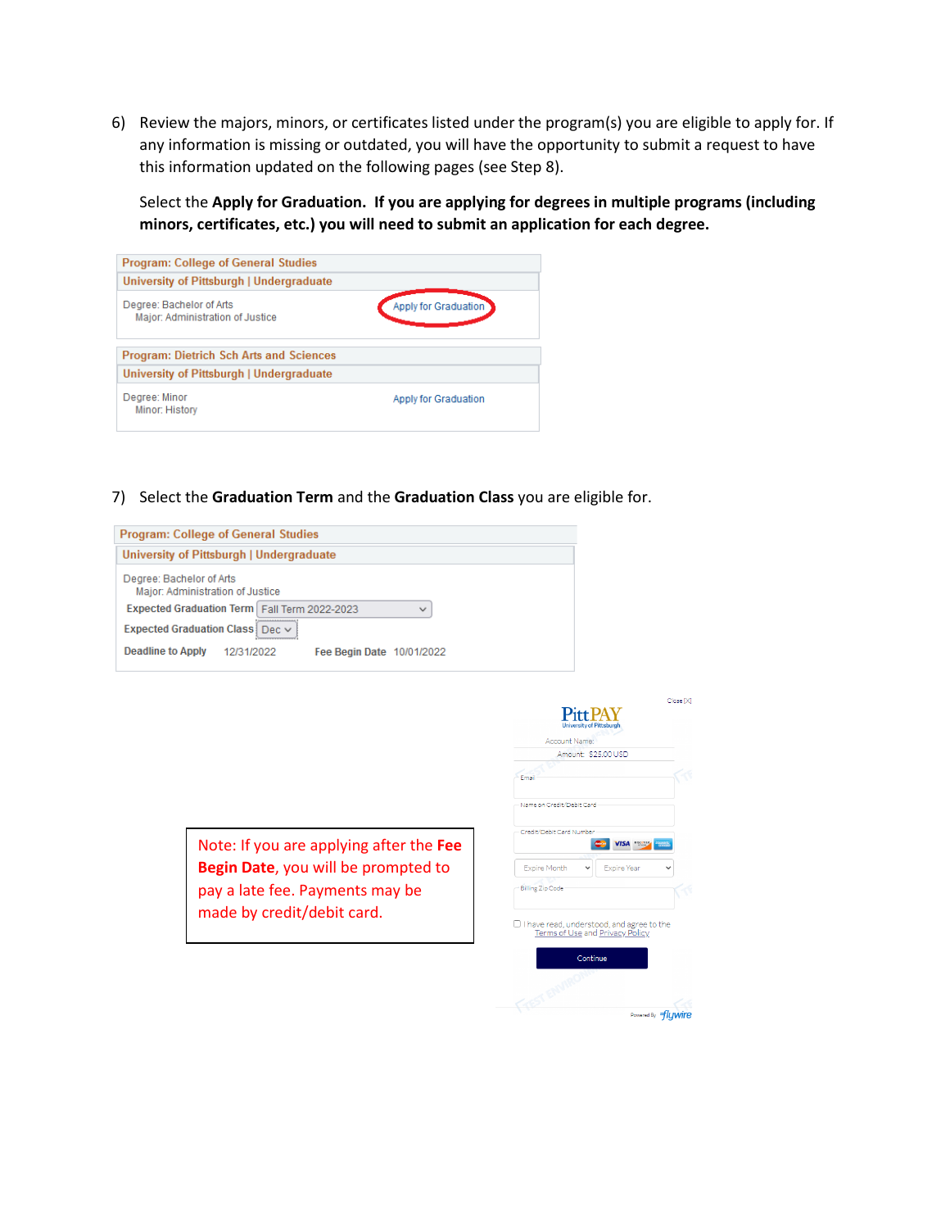6) Review the majors, minors, or certificates listed under the program(s) you are eligible to apply for. If any information is missing or outdated, you will have the opportunity to submit a request to have this information updated on the following pages (see Step 8).

Select the **Apply for Graduation. If you are applying for degrees in multiple programs (including minors, certificates, etc.) you will need to submit an application for each degree.**

| <b>Program: College of General Studies</b>                   |                      |
|--------------------------------------------------------------|----------------------|
| University of Pittsburgh   Undergraduate                     |                      |
| Degree: Bachelor of Arts<br>Major: Administration of Justice | Apply for Graduation |
| <b>Program: Dietrich Sch Arts and Sciences</b>               |                      |
| University of Pittsburgh   Undergraduate                     |                      |
| Degree: Minor<br>Minor: History                              | Apply for Graduation |

7) Select the **Graduation Term** and the **Graduation Class** you are eligible for.

| <b>Program: College of General Studies</b>                   |                           |
|--------------------------------------------------------------|---------------------------|
| University of Pittsburgh   Undergraduate                     |                           |
| Degree: Bachelor of Arts<br>Major: Administration of Justice |                           |
| <b>Expected Graduation Term   Fall Term 2022-2023</b>        | $\checkmark$              |
| Expected Graduation Class   Dec $\vee$                       |                           |
| <b>Deadline to Apply</b><br>12/31/2022                       | Fee Begin Date 10/01/2022 |



| Close <sup>[X]</sup><br><b>Pitt PAY</b><br><b>University of Pittsburgh</b>   |
|------------------------------------------------------------------------------|
| Account Name:                                                                |
| Amount: \$25,00 USD                                                          |
| Fmail                                                                        |
| Name on Credit/Debit Card                                                    |
| Credit/Debit Card Number<br>DISCOVER<br><b>/ISA</b>                          |
| <b>Expire Month</b><br><b>Expire Year</b><br><b>Billing Zip Code</b>         |
| I have read, understood, and agree to the<br>Terms of Use and Privacy Policy |
| Continue<br>Powered By flywire                                               |